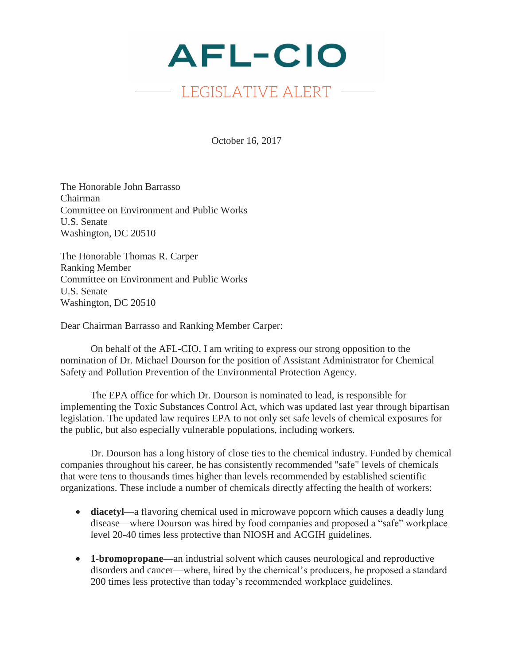

October 16, 2017

The Honorable John Barrasso Chairman Committee on Environment and Public Works U.S. Senate Washington, DC 20510

The Honorable Thomas R. Carper Ranking Member Committee on Environment and Public Works U.S. Senate Washington, DC 20510

Dear Chairman Barrasso and Ranking Member Carper:

On behalf of the AFL-CIO, I am writing to express our strong opposition to the nomination of Dr. Michael Dourson for the position of Assistant Administrator for Chemical Safety and Pollution Prevention of the Environmental Protection Agency.

The EPA office for which Dr. Dourson is nominated to lead, is responsible for implementing the Toxic Substances Control Act, which was updated last year through bipartisan legislation. The updated law requires EPA to not only set safe levels of chemical exposures for the public, but also especially vulnerable populations, including workers.

Dr. Dourson has a long history of close ties to the chemical industry. Funded by chemical companies throughout his career, he has consistently recommended "safe" levels of chemicals that were tens to thousands times higher than levels recommended by established scientific organizations. These include a number of chemicals directly affecting the health of workers:

- **diacetyl**—a flavoring chemical used in microwave popcorn which causes a deadly lung disease—where Dourson was hired by food companies and proposed a "safe" workplace level 20-40 times less protective than NIOSH and ACGIH guidelines.
- **1-bromopropane—**an industrial solvent which causes neurological and reproductive disorders and cancer—where, hired by the chemical's producers, he proposed a standard 200 times less protective than today's recommended workplace guidelines.